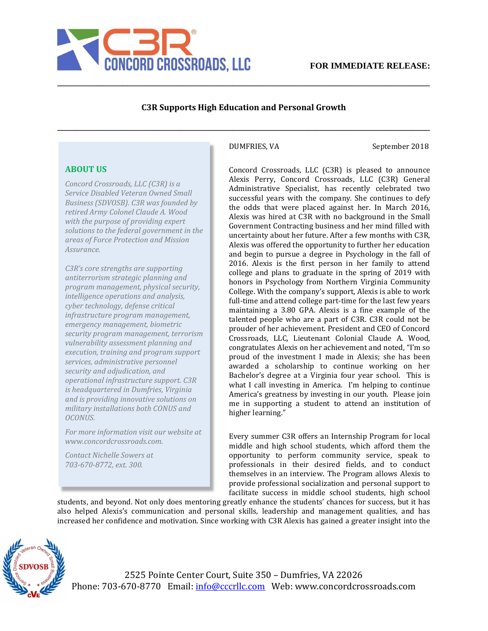

## **C3R Supports High Education and Personal Growth**

**\_\_\_\_\_\_\_\_\_\_\_\_\_\_\_\_\_\_\_\_\_\_\_\_\_\_\_\_\_\_\_\_\_\_\_\_\_\_\_\_\_\_\_\_\_\_\_\_\_\_\_\_\_\_\_\_\_\_\_\_\_\_\_\_\_\_\_\_\_\_\_\_\_\_\_\_\_\_\_\_\_\_\_\_\_**

**\_\_\_\_\_\_\_\_\_\_\_\_\_\_\_\_\_\_\_\_\_\_\_\_\_\_\_\_\_\_\_\_\_\_\_\_\_\_\_\_\_\_\_\_\_\_\_\_\_\_\_\_\_\_\_\_\_\_\_\_\_\_\_\_\_\_\_\_\_\_\_\_\_\_\_\_\_\_\_\_\_\_\_\_\_**

DUMFRIES, VA September 2018

## **ABOUT US**

*Concord Crossroads, LLC (C3R) is a Service Disabled Veteran Owned Small Business (SDVOSB). C3R was founded by retired Army Colonel Claude A. Wood with the purpose of providing expert solutions to the federal government in the areas of Force Protection and Mission Assurance.* 

*C3R's core strengths are supporting antiterrorism strategic planning and program management, physical security, intelligence operations and analysis, cyber technology, defense critical infrastructure program management, emergency management, biometric security program management, terrorism vulnerability assessment planning and execution, training and program support services, administrative personnel security and adjudication, and operational infrastructure support. C3R is headquartered in Dumfries, Virginia and is providing innovative solutions on military installations both CONUS and OCONUS.* 

*For more information visit our website at www.concordcrossroads.com.* 

*Contact Nichelle Sowers at 703-670-8772, ext. 300.*

Concord Crossroads, LLC (C3R) is pleased to announce Alexis Perry, Concord Crossroads, LLC (C3R) General Administrative Specialist, has recently celebrated two successful years with the company. She continues to defy the odds that were placed against her. In March 2016, Alexis was hired at C3R with no background in the Small Government Contracting business and her mind filled with uncertainty about her future. After a few months with C3R, Alexis was offered the opportunity to further her education and begin to pursue a degree in Psychology in the fall of 2016. Alexis is the first person in her family to attend college and plans to graduate in the spring of 2019 with honors in Psychology from Northern Virginia Community College. With the company's support, Alexis is able to work full-time and attend college part-time for the last few years maintaining a 3.80 GPA. Alexis is a fine example of the talented people who are a part of C3R. C3R could not be prouder of her achievement. President and CEO of Concord Crossroads, LLC, Lieutenant Colonial Claude A. Wood, congratulates Alexis on her achievement and noted, "I'm so proud of the investment I made in Alexis; she has been awarded a scholarship to continue working on her Bachelor's degree at a Virginia four year school. This is what I call investing in America. I'm helping to continue America's greatness by investing in our youth. Please join me in supporting a student to attend an institution of higher learning."

Every summer C3R offers an Internship Program for local middle and high school students, which afford them the opportunity to perform community service, speak to professionals in their desired fields, and to conduct themselves in an interview. The Program allows Alexis to provide professional socialization and personal support to facilitate success in middle school students, high school

students, and beyond. Not only does mentoring greatly enhance the students' chances for success, but it has also helped Alexis's communication and personal skills, leadership and management qualities, and has increased her confidence and motivation. Since working with C3R Alexis has gained a greater insight into the



2525 Pointe Center Court, Suite 350 – Dumfries, VA 22026 Phone: 703-670-8770 Email: info@cccrllc.com Web: www.concordcrossroads.com